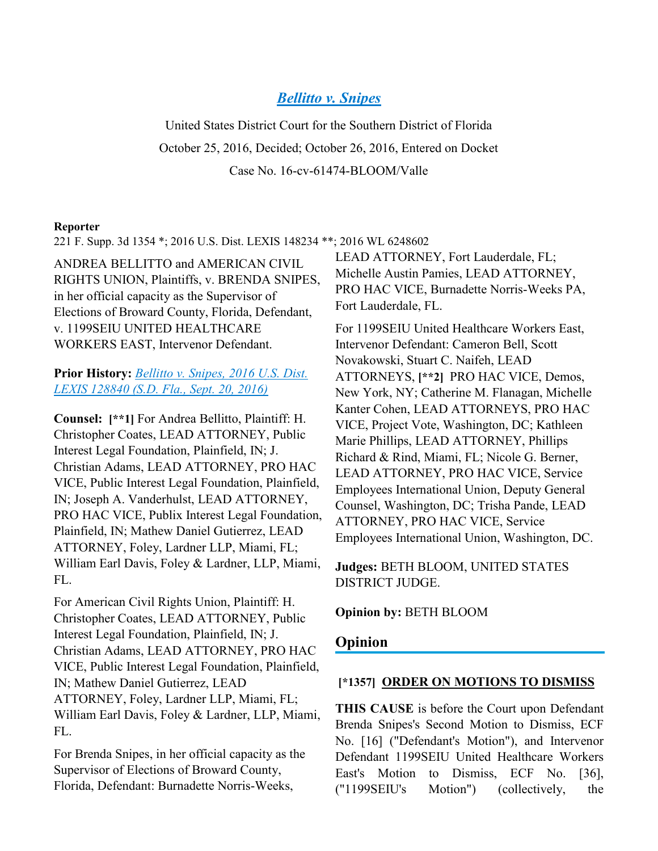# *[Bellitto v. Snipes](https://advance.lexis.com/api/document?collection=cases&id=urn:contentItem:5M1N-0M41-F04D-10NR-00000-00&context=)*

United States District Court for the Southern District of Florida October 25, 2016, Decided; October 26, 2016, Entered on Docket Case No. 16-cv-61474-BLOOM/Valle

#### **Reporter**

221 F. Supp. 3d 1354 \*; 2016 U.S. Dist. LEXIS 148234 \*\*; 2016 WL 6248602

ANDREA BELLITTO and AMERICAN CIVIL RIGHTS UNION, Plaintiffs, v. BRENDA SNIPES, in her official capacity as the Supervisor of Elections of Broward County, Florida, Defendant, v. 1199SEIU UNITED HEALTHCARE WORKERS EAST, Intervenor Defendant.

**Prior History:** *[Bellitto v. Snipes, 2016 U.S. Dist.](https://advance.lexis.com/api/document?collection=cases&id=urn:contentItem:5KS6-6541-F04D-10JX-00000-00&context=)  [LEXIS 128840 \(S.D. Fla., Sept. 20, 2016\)](https://advance.lexis.com/api/document?collection=cases&id=urn:contentItem:5KS6-6541-F04D-10JX-00000-00&context=)*

**Counsel: [\*\*1]** For Andrea Bellitto, Plaintiff: H. Christopher Coates, LEAD ATTORNEY, Public Interest Legal Foundation, Plainfield, IN; J. Christian Adams, LEAD ATTORNEY, PRO HAC VICE, Public Interest Legal Foundation, Plainfield, IN; Joseph A. Vanderhulst, LEAD ATTORNEY, PRO HAC VICE, Publix Interest Legal Foundation, Plainfield, IN; Mathew Daniel Gutierrez, LEAD ATTORNEY, Foley, Lardner LLP, Miami, FL; William Earl Davis, Foley & Lardner, LLP, Miami, FL.

For American Civil Rights Union, Plaintiff: H. Christopher Coates, LEAD ATTORNEY, Public Interest Legal Foundation, Plainfield, IN; J. Christian Adams, LEAD ATTORNEY, PRO HAC VICE, Public Interest Legal Foundation, Plainfield, IN; Mathew Daniel Gutierrez, LEAD ATTORNEY, Foley, Lardner LLP, Miami, FL; William Earl Davis, Foley & Lardner, LLP, Miami, FL.

For Brenda Snipes, in her official capacity as the Supervisor of Elections of Broward County, Florida, Defendant: Burnadette Norris-Weeks,

LEAD ATTORNEY, Fort Lauderdale, FL; Michelle Austin Pamies, LEAD ATTORNEY, PRO HAC VICE, Burnadette Norris-Weeks PA, Fort Lauderdale, FL.

For 1199SEIU United Healthcare Workers East, Intervenor Defendant: Cameron Bell, Scott Novakowski, Stuart C. Naifeh, LEAD ATTORNEYS, **[\*\*2]** PRO HAC VICE, Demos, New York, NY; Catherine M. Flanagan, Michelle Kanter Cohen, LEAD ATTORNEYS, PRO HAC VICE, Project Vote, Washington, DC; Kathleen Marie Phillips, LEAD ATTORNEY, Phillips Richard & Rind, Miami, FL; Nicole G. Berner, LEAD ATTORNEY, PRO HAC VICE, Service Employees International Union, Deputy General Counsel, Washington, DC; Trisha Pande, LEAD ATTORNEY, PRO HAC VICE, Service Employees International Union, Washington, DC.

**Judges:** BETH BLOOM, UNITED STATES DISTRICT JUDGE.

**Opinion by:** BETH BLOOM

### **Opinion**

#### **[\*1357] ORDER ON MOTIONS TO DISMISS**

**THIS CAUSE** is before the Court upon Defendant Brenda Snipes's Second Motion to Dismiss, ECF No. [16] ("Defendant's Motion"), and Intervenor Defendant 1199SEIU United Healthcare Workers East's Motion to Dismiss, ECF No. [36], ("1199SEIU's Motion") (collectively, the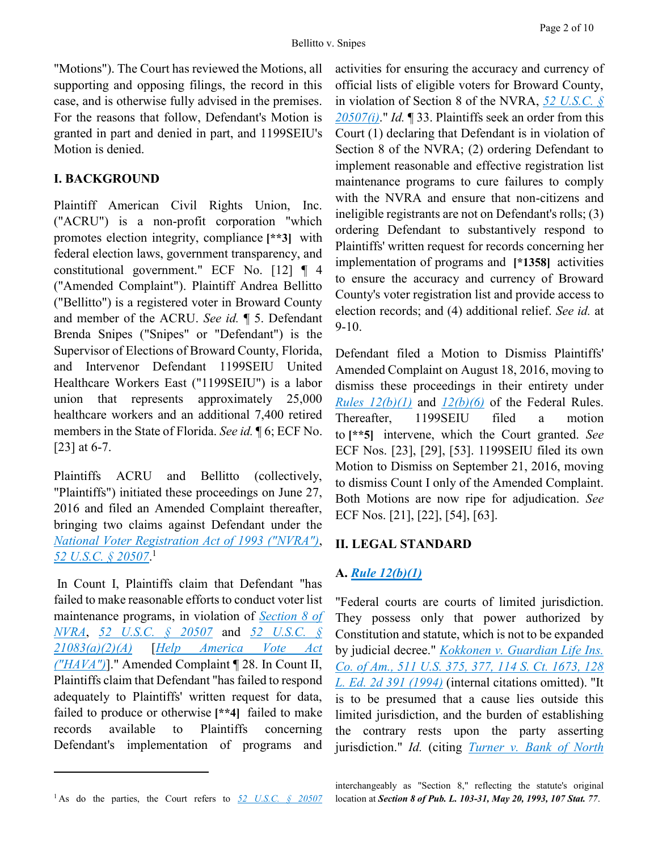"Motions"). The Court has reviewed the Motions, all supporting and opposing filings, the record in this case, and is otherwise fully advised in the premises. For the reasons that follow, Defendant's Motion is granted in part and denied in part, and 1199SEIU's Motion is denied.

# **I. BACKGROUND**

Plaintiff American Civil Rights Union, Inc. ("ACRU") is a non-profit corporation "which promotes election integrity, compliance **[\*\*3]** with federal election laws, government transparency, and constitutional government." ECF No. [12] ¶ 4 ("Amended Complaint"). Plaintiff Andrea Bellitto ("Bellitto") is a registered voter in Broward County and member of the ACRU. *See id.* ¶ 5. Defendant Brenda Snipes ("Snipes" or "Defendant") is the Supervisor of Elections of Broward County, Florida, and Intervenor Defendant 1199SEIU United Healthcare Workers East ("1199SEIU") is a labor union that represents approximately 25,000 healthcare workers and an additional 7,400 retired members in the State of Florida. *See id.* ¶ 6; ECF No. [23] at 6-7.

Plaintiffs ACRU and Bellitto (collectively, "Plaintiffs") initiated these proceedings on June 27, 2016 and filed an Amended Complaint thereafter, bringing two claims against Defendant under the *[National Voter Registration Act of 1993 \("NVRA"\)](https://advance.lexis.com/api/document?collection=statutes-legislation&id=urn:contentItem:4YF7-GHR1-NRF4-43YP-00000-00&context=)*, *[52 U.S.C. § 20507](https://advance.lexis.com/api/document?collection=statutes-legislation&id=urn:contentItem:5D3N-F731-NRF4-4007-00000-00&context=)*. 1

In Count I, Plaintiffs claim that Defendant "has failed to make reasonable efforts to conduct voter list maintenance programs, in violation of *[Section 8 of](https://advance.lexis.com/api/document?collection=statutes-legislation&id=urn:contentItem:5D3N-F731-NRF4-4007-00000-00&context=)  [NVRA](https://advance.lexis.com/api/document?collection=statutes-legislation&id=urn:contentItem:5D3N-F731-NRF4-4007-00000-00&context=)*, *[52 U.S.C. § 20507](https://advance.lexis.com/api/document?collection=statutes-legislation&id=urn:contentItem:5D3N-F731-NRF4-4007-00000-00&context=)* and *[52 U.S.C. §](https://advance.lexis.com/api/document?collection=statutes-legislation&id=urn:contentItem:5D3N-FR61-NRF4-4003-00000-00&context=)  [21083\(a\)\(2\)\(A\)](https://advance.lexis.com/api/document?collection=statutes-legislation&id=urn:contentItem:5D3N-FR61-NRF4-4003-00000-00&context=)* [*[Help America Vote Act](https://advance.lexis.com/api/document?collection=statutes-legislation&id=urn:contentItem:4YF7-GN01-NRF4-44WF-00000-00&context=)  [\("HAVA"\)](https://advance.lexis.com/api/document?collection=statutes-legislation&id=urn:contentItem:4YF7-GN01-NRF4-44WF-00000-00&context=)*]." Amended Complaint ¶ 28. In Count II, Plaintiffs claim that Defendant "has failed to respond adequately to Plaintiffs' written request for data, failed to produce or otherwise **[\*\*4]** failed to make records available to Plaintiffs concerning Defendant's implementation of programs and

activities for ensuring the accuracy and currency of official lists of eligible voters for Broward County, in violation of Section 8 of the NVRA, *[52 U.S.C. §](https://advance.lexis.com/api/document?collection=statutes-legislation&id=urn:contentItem:5D3N-F731-NRF4-4007-00000-00&context=)  [20507\(i\)](https://advance.lexis.com/api/document?collection=statutes-legislation&id=urn:contentItem:5D3N-F731-NRF4-4007-00000-00&context=)*." *Id.* ¶ 33. Plaintiffs seek an order from this Court (1) declaring that Defendant is in violation of Section 8 of the NVRA; (2) ordering Defendant to implement reasonable and effective registration list maintenance programs to cure failures to comply with the NVRA and ensure that non-citizens and ineligible registrants are not on Defendant's rolls; (3) ordering Defendant to substantively respond to Plaintiffs' written request for records concerning her implementation of programs and **[\*1358]** activities to ensure the accuracy and currency of Broward County's voter registration list and provide access to election records; and (4) additional relief. *See id.* at  $9-10.$ 

Defendant filed a Motion to Dismiss Plaintiffs' Amended Complaint on August 18, 2016, moving to dismiss these proceedings in their entirety under *[Rules 12\(b\)\(1\)](https://advance.lexis.com/api/document?collection=statutes-legislation&id=urn:contentItem:5GYC-1WP1-6N19-F0YW-00000-00&context=)* and *[12\(b\)\(6\)](https://advance.lexis.com/api/document?collection=statutes-legislation&id=urn:contentItem:5GYC-1WP1-6N19-F0YW-00000-00&context=)* of the Federal Rules. Thereafter, 1199SEIU filed a motion to **[\*\*5]** intervene, which the Court granted. *See* ECF Nos. [23], [29], [53]. 1199SEIU filed its own Motion to Dismiss on September 21, 2016, moving to dismiss Count I only of the Amended Complaint. Both Motions are now ripe for adjudication. *See* ECF Nos. [21], [22], [54], [63].

## **II. LEGAL STANDARD**

# **A.** *[Rule 12\(b\)\(1\)](https://advance.lexis.com/api/document?collection=statutes-legislation&id=urn:contentItem:5GYC-1WP1-6N19-F0YW-00000-00&context=)*

"Federal courts are courts of limited jurisdiction. They possess only that power authorized by Constitution and statute, which is not to be expanded by judicial decree." *[Kokkonen v. Guardian Life Ins.](https://advance.lexis.com/api/document?collection=cases&id=urn:contentItem:3S65-JWF0-003B-R1BW-00000-00&context=)  [Co. of Am., 511 U.S. 375, 377, 114 S. Ct. 1673, 128](https://advance.lexis.com/api/document?collection=cases&id=urn:contentItem:3S65-JWF0-003B-R1BW-00000-00&context=)  [L. Ed. 2d 391 \(1994\)](https://advance.lexis.com/api/document?collection=cases&id=urn:contentItem:3S65-JWF0-003B-R1BW-00000-00&context=)* (internal citations omitted). "It is to be presumed that a cause lies outside this limited jurisdiction, and the burden of establishing the contrary rests upon the party asserting jurisdiction." *Id.* (citing *Turner v. [Bank of North](https://advance.lexis.com/api/document?collection=cases&id=urn:contentItem:3S4X-KXF0-003B-H19B-00000-00&context=)* 

 $\overline{a}$ 

<sup>&</sup>lt;sup>1</sup> As do the parties, the Court refers to <u>[52 U.S.C. § 20507](https://advance.lexis.com/api/document?collection=statutes-legislation&id=urn:contentItem:5D3N-F731-NRF4-4007-00000-00&context=)</u>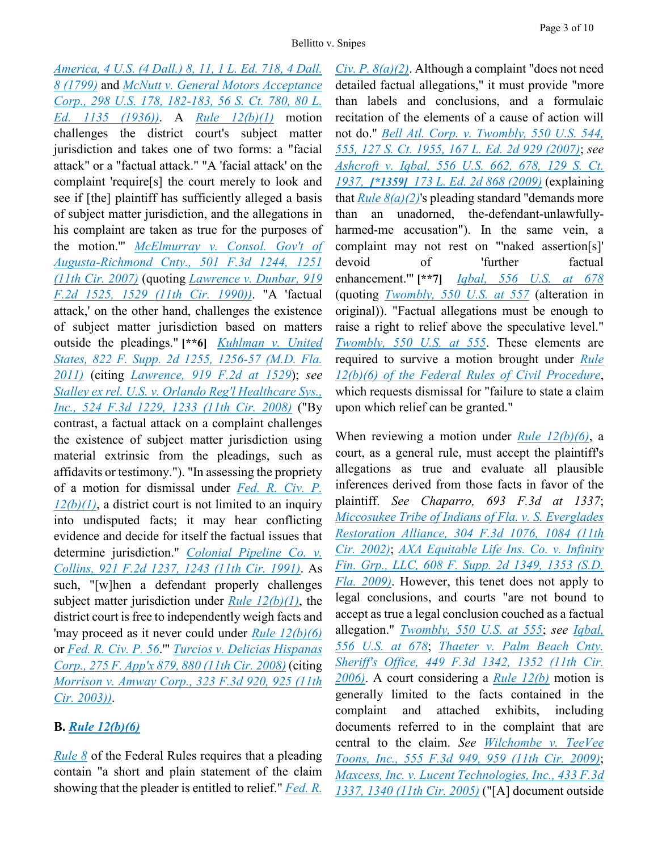*[America, 4 U.S. \(4 Dall.\) 8, 11, 1 L. Ed. 718, 4 Dall.](https://advance.lexis.com/api/document?collection=cases&id=urn:contentItem:3S4X-KXF0-003B-H19B-00000-00&context=)  [8 \(1799\)](https://advance.lexis.com/api/document?collection=cases&id=urn:contentItem:3S4X-KXF0-003B-H19B-00000-00&context=)* and *[McNutt v. General Motors Acceptance](https://advance.lexis.com/api/document?collection=cases&id=urn:contentItem:3S4X-9P90-003B-737M-00000-00&context=)  [Corp., 298 U.S. 178, 182-183, 56 S. Ct. 780, 80 L.](https://advance.lexis.com/api/document?collection=cases&id=urn:contentItem:3S4X-9P90-003B-737M-00000-00&context=)  [Ed. 1135 \(1936\)\)](https://advance.lexis.com/api/document?collection=cases&id=urn:contentItem:3S4X-9P90-003B-737M-00000-00&context=)*. A *[Rule 12\(b\)\(1\)](https://advance.lexis.com/api/document?collection=statutes-legislation&id=urn:contentItem:5GYC-1WP1-6N19-F0YW-00000-00&context=)* motion challenges the district court's subject matter jurisdiction and takes one of two forms: a "facial attack" or a "factual attack." "A 'facial attack' on the complaint 'require[s] the court merely to look and see if [the] plaintiff has sufficiently alleged a basis of subject matter jurisdiction, and the allegations in his complaint are taken as true for the purposes of the motion.'" *[McElmurray v. Consol. Gov't of](https://advance.lexis.com/api/document?collection=cases&id=urn:contentItem:4PT3-CDN0-TXFX-G38P-00000-00&context=) [Augusta-Richmond Cnty., 501 F.3d 1244, 1251](https://advance.lexis.com/api/document?collection=cases&id=urn:contentItem:4PT3-CDN0-TXFX-G38P-00000-00&context=)  [\(11th Cir. 2007\)](https://advance.lexis.com/api/document?collection=cases&id=urn:contentItem:4PT3-CDN0-TXFX-G38P-00000-00&context=)* (quoting *[Lawrence v. Dunbar, 919](https://advance.lexis.com/api/document?collection=cases&id=urn:contentItem:3S4X-0JK0-003B-51N0-00000-00&context=)  [F.2d 1525, 1529 \(11th Cir. 1990\)\)](https://advance.lexis.com/api/document?collection=cases&id=urn:contentItem:3S4X-0JK0-003B-51N0-00000-00&context=)*. "A 'factual attack,' on the other hand, challenges the existence of subject matter jurisdiction based on matters outside the pleadings." **[\*\*6]** *[Kuhlman v. United](https://advance.lexis.com/api/document?collection=cases&id=urn:contentItem:83M5-HR71-652H-F3HP-00000-00&context=)  [States, 822 F. Supp. 2d 1255, 1256-57 \(M.D. Fla.](https://advance.lexis.com/api/document?collection=cases&id=urn:contentItem:83M5-HR71-652H-F3HP-00000-00&context=)  [2011\)](https://advance.lexis.com/api/document?collection=cases&id=urn:contentItem:83M5-HR71-652H-F3HP-00000-00&context=)* (citing *[Lawrence, 919 F.2d at 1529](https://advance.lexis.com/api/document?collection=cases&id=urn:contentItem:3S4X-0JK0-003B-51N0-00000-00&context=)*); *see [Stalley ex rel. U.S. v. Orlando Reg'l Healthcare Sys.,](https://advance.lexis.com/api/document?collection=cases&id=urn:contentItem:4S9R-GBT0-TXFX-G3CY-00000-00&context=)  [Inc., 524 F.3d 1229, 1233 \(11th Cir. 2008\)](https://advance.lexis.com/api/document?collection=cases&id=urn:contentItem:4S9R-GBT0-TXFX-G3CY-00000-00&context=)* ("By contrast, a factual attack on a complaint challenges the existence of subject matter jurisdiction using material extrinsic from the pleadings, such as affidavits or testimony."). "In assessing the propriety of a motion for dismissal under *[Fed. R. Civ. P.](https://advance.lexis.com/api/document?collection=statutes-legislation&id=urn:contentItem:5GYC-1WP1-6N19-F0YW-00000-00&context=)  [12\(b\)\(1\)](https://advance.lexis.com/api/document?collection=statutes-legislation&id=urn:contentItem:5GYC-1WP1-6N19-F0YW-00000-00&context=)*, a district court is not limited to an inquiry into undisputed facts; it may hear conflicting evidence and decide for itself the factual issues that determine jurisdiction." *[Colonial Pipeline Co. v.](https://advance.lexis.com/api/document?collection=cases&id=urn:contentItem:3S4X-GWV0-008H-V0FB-00000-00&context=)  [Collins, 921 F.2d 1237, 1243 \(11th Cir. 1991\)](https://advance.lexis.com/api/document?collection=cases&id=urn:contentItem:3S4X-GWV0-008H-V0FB-00000-00&context=)*. As such, "[w]hen a defendant properly challenges subject matter jurisdiction under *[Rule 12\(b\)\(1\)](https://advance.lexis.com/api/document?collection=statutes-legislation&id=urn:contentItem:5GYC-1WP1-6N19-F0YW-00000-00&context=)*, the district court is free to independently weigh facts and 'may proceed as it never could under *[Rule 12\(b\)\(6\)](https://advance.lexis.com/api/document?collection=statutes-legislation&id=urn:contentItem:5GYC-1WP1-6N19-F0YW-00000-00&context=)* or *[Fed. R. Civ. P. 56](https://advance.lexis.com/api/document?collection=statutes-legislation&id=urn:contentItem:5GYC-2421-6N19-F165-00000-00&context=)*.'" *[Turcios v. Delicias Hispanas](https://advance.lexis.com/api/document?collection=cases&id=urn:contentItem:4SFW-P1N0-TX4N-G0M5-00000-00&context=)  [Corp., 275 F. App'x 879, 880 \(11th Cir. 2008\)](https://advance.lexis.com/api/document?collection=cases&id=urn:contentItem:4SFW-P1N0-TX4N-G0M5-00000-00&context=)* (citing *[Morrison v. Amway Corp., 323 F.3d 920, 925 \(11th](https://advance.lexis.com/api/document?collection=cases&id=urn:contentItem:482X-6XN0-0038-X43T-00000-00&context=)  [Cir. 2003\)\)](https://advance.lexis.com/api/document?collection=cases&id=urn:contentItem:482X-6XN0-0038-X43T-00000-00&context=)*.

## **B.** *[Rule 12\(b\)\(6\)](https://advance.lexis.com/api/document?collection=statutes-legislation&id=urn:contentItem:5GYC-1WP1-6N19-F0YW-00000-00&context=)*

*[Rule 8](https://advance.lexis.com/api/document?collection=statutes-legislation&id=urn:contentItem:5GYC-1WP1-6N19-F0YK-00000-00&context=)* of the Federal Rules requires that a pleading contain "a short and plain statement of the claim showing that the pleader is entitled to relief." *[Fed. R.](https://advance.lexis.com/api/document?collection=statutes-legislation&id=urn:contentItem:5GYC-1WP1-6N19-F0YK-00000-00&context=)*  *[Civ. P. 8\(a\)\(2\)](https://advance.lexis.com/api/document?collection=statutes-legislation&id=urn:contentItem:5GYC-1WP1-6N19-F0YK-00000-00&context=)*. Although a complaint "does not need detailed factual allegations," it must provide "more than labels and conclusions, and a formulaic recitation of the elements of a cause of action will not do." *[Bell Atl. Corp. v. Twombly, 550 U.S. 544,](https://advance.lexis.com/api/document?collection=cases&id=urn:contentItem:4NSN-8840-004C-002M-00000-00&context=)  [555, 127 S. Ct. 1955, 167 L. Ed. 2d 929 \(2007\)](https://advance.lexis.com/api/document?collection=cases&id=urn:contentItem:4NSN-8840-004C-002M-00000-00&context=)*; *see [Ashcroft v. Iqbal, 556 U.S. 662, 678, 129 S. Ct.](https://advance.lexis.com/api/document?collection=cases&id=urn:contentItem:4W9Y-4KS0-TXFX-1325-00000-00&context=)  [1937,](https://advance.lexis.com/api/document?collection=cases&id=urn:contentItem:4W9Y-4KS0-TXFX-1325-00000-00&context=) [\[\\*1359\]](https://advance.lexis.com/api/document?collection=cases&id=urn:contentItem:4W9Y-4KS0-TXFX-1325-00000-00&context=) [173 L. Ed. 2d 868 \(2009\)](https://advance.lexis.com/api/document?collection=cases&id=urn:contentItem:4W9Y-4KS0-TXFX-1325-00000-00&context=)* (explaining that  $Rule 8(a)(2)$ 's pleading standard "demands more" than an unadorned, the-defendant-unlawfullyharmed-me accusation"). In the same vein, a complaint may not rest on "'naked assertion[s]' devoid of 'further factual enhancement.'" **[\*\*7]** *[Iqbal, 556 U.S. at 678](https://advance.lexis.com/api/document?collection=cases&id=urn:contentItem:4W9Y-4KS0-TXFX-1325-00000-00&context=)* (quoting *[Twombly,](https://advance.lexis.com/api/document?collection=cases&id=urn:contentItem:4NSN-8840-004C-002M-00000-00&context=) 550 [U.S. at 557](https://advance.lexis.com/api/document?collection=cases&id=urn:contentItem:4NSN-8840-004C-002M-00000-00&context=)* (alteration in original)). "Factual allegations must be enough to raise a right to relief above the speculative level." *[Twombly, 550 U.S. at 555](https://advance.lexis.com/api/document?collection=cases&id=urn:contentItem:4NSN-8840-004C-002M-00000-00&context=)*. These elements are required to survive a motion brought under *[Rule](https://advance.lexis.com/api/document?collection=statutes-legislation&id=urn:contentItem:5GYC-1WP1-6N19-F0YW-00000-00&context=)  [12\(b\)\(6\) of the Federal Rules of Civil Procedure](https://advance.lexis.com/api/document?collection=statutes-legislation&id=urn:contentItem:5GYC-1WP1-6N19-F0YW-00000-00&context=)*, which requests dismissal for "failure to state a claim upon which relief can be granted."

When reviewing a motion under *[Rule 12\(b\)\(6\)](https://advance.lexis.com/api/document?collection=statutes-legislation&id=urn:contentItem:5GYC-1WP1-6N19-F0YW-00000-00&context=)*, a court, as a general rule, must accept the plaintiff's allegations as true and evaluate all plausible inferences derived from those facts in favor of the plaintiff. *See Chaparro, 693 F.3d at 1337*; *[Miccosukee Tribe of Indians of Fla. v. S. Everglades](https://advance.lexis.com/api/document?collection=cases&id=urn:contentItem:46R6-5FS0-0038-X3KC-00000-00&context=)  [Restoration Alliance, 304 F.3d 1076, 1084](https://advance.lexis.com/api/document?collection=cases&id=urn:contentItem:46R6-5FS0-0038-X3KC-00000-00&context=) (11th [Cir. 2002\)](https://advance.lexis.com/api/document?collection=cases&id=urn:contentItem:46R6-5FS0-0038-X3KC-00000-00&context=)*; *[AXA Equitable Life Ins. Co. v. Infinity](https://advance.lexis.com/api/document?collection=cases&id=urn:contentItem:4WBB-4KM0-TXFP-K2NS-00000-00&context=)  [Fin. Grp., LLC, 608 F. Supp. 2d 1349, 1353 \(S.D.](https://advance.lexis.com/api/document?collection=cases&id=urn:contentItem:4WBB-4KM0-TXFP-K2NS-00000-00&context=)  [Fla. 2009\)](https://advance.lexis.com/api/document?collection=cases&id=urn:contentItem:4WBB-4KM0-TXFP-K2NS-00000-00&context=)*. However, this tenet does not apply to legal conclusions, and courts "are not bound to accept as true a legal conclusion couched as a factual allegation." *[Twombly, 550 U.S. at 555](https://advance.lexis.com/api/document?collection=cases&id=urn:contentItem:4NSN-8840-004C-002M-00000-00&context=)*; *see [Iqbal,](https://advance.lexis.com/api/document?collection=cases&id=urn:contentItem:4W9Y-4KS0-TXFX-1325-00000-00&context=)  [556 U.S. at 678](https://advance.lexis.com/api/document?collection=cases&id=urn:contentItem:4W9Y-4KS0-TXFX-1325-00000-00&context=)*; *[Thaeter v. Palm Beach Cnty.](https://advance.lexis.com/api/document?collection=cases&id=urn:contentItem:4K2S-JP40-0038-X26S-00000-00&context=)  [Sheriff's Office, 449 F.3d 1342, 1352 \(11th Cir.](https://advance.lexis.com/api/document?collection=cases&id=urn:contentItem:4K2S-JP40-0038-X26S-00000-00&context=)  [2006\)](https://advance.lexis.com/api/document?collection=cases&id=urn:contentItem:4K2S-JP40-0038-X26S-00000-00&context=)*. A court considering a *[Rule 12\(b\)](https://advance.lexis.com/api/document?collection=statutes-legislation&id=urn:contentItem:5GYC-1WP1-6N19-F0YW-00000-00&context=)* motion is generally limited to the facts contained in the complaint and attached exhibits, including documents referred to in the complaint that are central to the claim. *See [Wilchombe v. TeeVee](https://advance.lexis.com/api/document?collection=cases&id=urn:contentItem:4VF6-H4D0-TXFX-G3F5-00000-00&context=)  [Toons, Inc., 555 F.3d 949, 959 \(11th Cir. 2009\)](https://advance.lexis.com/api/document?collection=cases&id=urn:contentItem:4VF6-H4D0-TXFX-G3F5-00000-00&context=)*; *[Maxcess, Inc. v. Lucent Technologies, Inc., 433 F.3d](https://advance.lexis.com/api/document?collection=cases&id=urn:contentItem:4HX0-1YN0-0038-X0SJ-00000-00&context=)  [1337, 1340 \(11th Cir. 2005\)](https://advance.lexis.com/api/document?collection=cases&id=urn:contentItem:4HX0-1YN0-0038-X0SJ-00000-00&context=)* ("[A] document outside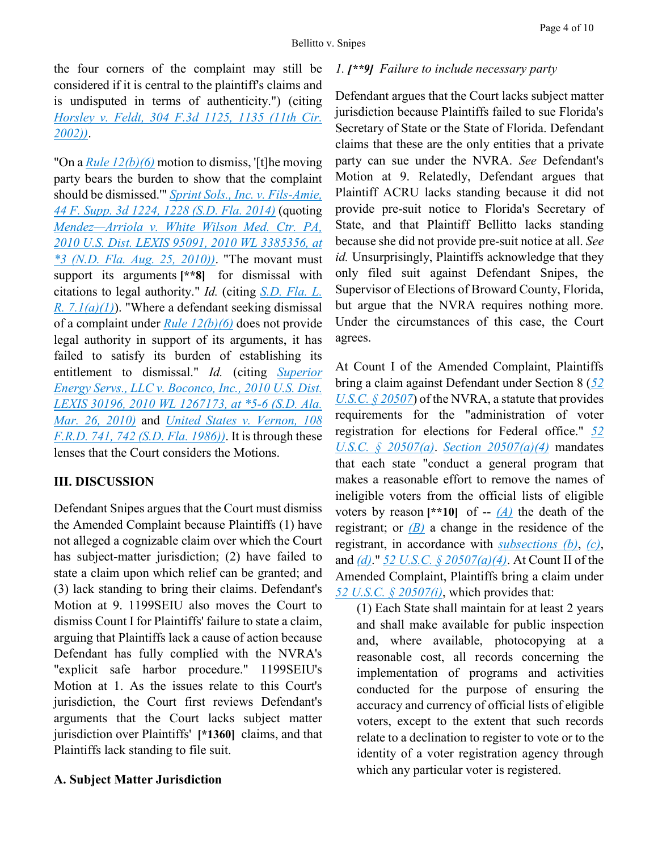the four corners of the complaint may still be considered if it is central to the plaintiff's claims and is undisputed in terms of authenticity.") (citing *[Horsley v. Feldt, 304 F.3d 1125, 1135 \(11th Cir.](https://advance.lexis.com/api/document?collection=cases&id=urn:contentItem:46R6-5FR0-0038-X3K5-00000-00&context=)  [2002\)\)](https://advance.lexis.com/api/document?collection=cases&id=urn:contentItem:46R6-5FR0-0038-X3K5-00000-00&context=)*.

"On a *[Rule 12\(b\)\(6\)](https://advance.lexis.com/api/document?collection=statutes-legislation&id=urn:contentItem:5GYC-1WP1-6N19-F0YW-00000-00&context=)* motion to dismiss, '[t]he moving party bears the burden to show that the complaint should be dismissed.'" *[Sprint Sols., Inc. v. Fils-Amie,](https://advance.lexis.com/api/document?collection=cases&id=urn:contentItem:5D4C-V601-F04D-1229-00000-00&context=)  [44 F. Supp. 3d 1224, 1228 \(S.D. Fla. 2014\)](https://advance.lexis.com/api/document?collection=cases&id=urn:contentItem:5D4C-V601-F04D-1229-00000-00&context=)* (quoting *Mendez—[Arriola v. White Wilson Med. Ctr. PA,](https://advance.lexis.com/api/document?collection=cases&id=urn:contentItem:5114-D7M1-652H-F00H-00000-00&context=)  [2010 U.S. Dist. LEXIS 95091, 2010 WL 3385356, at](https://advance.lexis.com/api/document?collection=cases&id=urn:contentItem:5114-D7M1-652H-F00H-00000-00&context=)  [\\*3 \(N.D. Fla. Aug. 25, 2010\)\)](https://advance.lexis.com/api/document?collection=cases&id=urn:contentItem:5114-D7M1-652H-F00H-00000-00&context=)*. "The movant must support its arguments **[\*\*8]** for dismissal with citations to legal authority." *Id.* (citing *[S.D. Fla. L.](https://advance.lexis.com/api/document?collection=statutes-legislation&id=urn:contentItem:5P4T-FXK0-004D-61TY-00000-00&context=)  R.*  $7.1(a)(1)$ ). "Where a defendant seeking dismissal of a complaint under *[Rule 12\(b\)\(6\)](https://advance.lexis.com/api/document?collection=statutes-legislation&id=urn:contentItem:5GYC-1WP1-6N19-F0YW-00000-00&context=)* does not provide legal authority in support of its arguments, it has failed to satisfy its burden of establishing its entitlement to dismissal." *Id.* (citing *[Superior](https://advance.lexis.com/api/document?collection=cases&id=urn:contentItem:7Y4C-D100-YB0M-J08K-00000-00&context=)  [Energy Servs., LLC v. Boconco, Inc., 2010 U.S. Dist.](https://advance.lexis.com/api/document?collection=cases&id=urn:contentItem:7Y4C-D100-YB0M-J08K-00000-00&context=)  [LEXIS 30196, 2010 WL 1267173, at \\*5-6 \(S.D. Ala.](https://advance.lexis.com/api/document?collection=cases&id=urn:contentItem:7Y4C-D100-YB0M-J08K-00000-00&context=)  [Mar. 26, 2010\)](https://advance.lexis.com/api/document?collection=cases&id=urn:contentItem:7Y4C-D100-YB0M-J08K-00000-00&context=)* and *[United States v. Vernon, 108](https://advance.lexis.com/api/document?collection=cases&id=urn:contentItem:3S4N-C6N0-0039-R3P7-00000-00&context=)  [F.R.D. 741, 742 \(S.D. Fla. 1986\)\)](https://advance.lexis.com/api/document?collection=cases&id=urn:contentItem:3S4N-C6N0-0039-R3P7-00000-00&context=)*. It is through these lenses that the Court considers the Motions.

# **III. DISCUSSION**

Defendant Snipes argues that the Court must dismiss the Amended Complaint because Plaintiffs (1) have not alleged a cognizable claim over which the Court has subject-matter jurisdiction; (2) have failed to state a claim upon which relief can be granted; and (3) lack standing to bring their claims. Defendant's Motion at 9. 1199SEIU also moves the Court to dismiss Count I for Plaintiffs' failure to state a claim, arguing that Plaintiffs lack a cause of action because Defendant has fully complied with the NVRA's "explicit safe harbor procedure." 1199SEIU's Motion at 1. As the issues relate to this Court's jurisdiction, the Court first reviews Defendant's arguments that the Court lacks subject matter jurisdiction over Plaintiffs' **[\*1360]** claims, and that Plaintiffs lack standing to file suit.

# **A. Subject Matter Jurisdiction**

## *1. [\*\*9] Failure to include necessary party*

Defendant argues that the Court lacks subject matter jurisdiction because Plaintiffs failed to sue Florida's Secretary of State or the State of Florida. Defendant claims that these are the only entities that a private party can sue under the NVRA. *See* Defendant's Motion at 9. Relatedly, Defendant argues that Plaintiff ACRU lacks standing because it did not provide pre-suit notice to Florida's Secretary of State, and that Plaintiff Bellitto lacks standing because she did not provide pre-suit notice at all. *See id.* Unsurprisingly, Plaintiffs acknowledge that they only filed suit against Defendant Snipes, the Supervisor of Elections of Broward County, Florida, but argue that the NVRA requires nothing more. Under the circumstances of this case, the Court agrees.

At Count I of the Amended Complaint, Plaintiffs bring a claim against Defendant under Section 8 (*[52](https://advance.lexis.com/api/document?collection=statutes-legislation&id=urn:contentItem:5D3N-F731-NRF4-4007-00000-00&context=)  U.S.C.* § 20507) of the NVRA, a statute that provides requirements for the "administration of voter registration for elections for Federal office." *[52](https://advance.lexis.com/api/document?collection=statutes-legislation&id=urn:contentItem:5D3N-F731-NRF4-4007-00000-00&context=)  [U.S.C. § 20507\(a\)](https://advance.lexis.com/api/document?collection=statutes-legislation&id=urn:contentItem:5D3N-F731-NRF4-4007-00000-00&context=)*. *[Section 20507\(a\)\(4\)](https://advance.lexis.com/api/document?collection=statutes-legislation&id=urn:contentItem:5D3N-F731-NRF4-4007-00000-00&context=)* mandates that each state "conduct a general program that makes a reasonable effort to remove the names of ineligible voters from the official lists of eligible voters by reason  $[**10]$  of --  $(A)$  the death of the registrant; or  $(B)$  a change in the residence of the registrant, in accordance with *[subsections \(b\)](https://advance.lexis.com/api/document?collection=statutes-legislation&id=urn:contentItem:5D3N-F731-NRF4-4007-00000-00&context=)*, *[\(c\)](https://advance.lexis.com/api/document?collection=statutes-legislation&id=urn:contentItem:5D3N-F731-NRF4-4007-00000-00&context=)*, and *[\(d\)](https://advance.lexis.com/api/document?collection=statutes-legislation&id=urn:contentItem:5D3N-F731-NRF4-4007-00000-00&context=)*." *[52 U.S.C. § 20507\(a\)\(4\)](https://advance.lexis.com/api/document?collection=statutes-legislation&id=urn:contentItem:5D3N-F731-NRF4-4007-00000-00&context=)*. At Count II of the Amended Complaint, Plaintiffs bring a claim under *[52 U.S.C. § 20507\(i\)](https://advance.lexis.com/api/document?collection=statutes-legislation&id=urn:contentItem:5D3N-F731-NRF4-4007-00000-00&context=)*, which provides that:

(1) Each State shall maintain for at least 2 years and shall make available for public inspection and, where available, photocopying at a reasonable cost, all records concerning the implementation of programs and activities conducted for the purpose of ensuring the accuracy and currency of official lists of eligible voters, except to the extent that such records relate to a declination to register to vote or to the identity of a voter registration agency through which any particular voter is registered.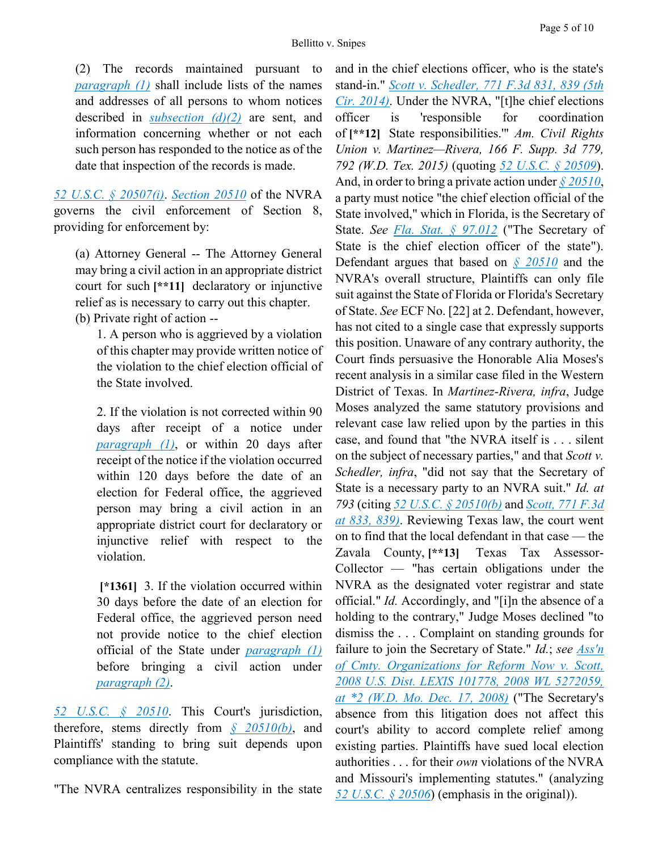(2) The records maintained pursuant to *[paragraph \(1\)](https://advance.lexis.com/api/document?collection=statutes-legislation&id=urn:contentItem:5D3N-F731-NRF4-4007-00000-00&context=)* shall include lists of the names and addresses of all persons to whom notices described in *[subsection \(d\)\(2\)](https://advance.lexis.com/api/document?collection=statutes-legislation&id=urn:contentItem:5D3N-F731-NRF4-4007-00000-00&context=)* are sent, and information concerning whether or not each such person has responded to the notice as of the date that inspection of the records is made.

*[52 U.S.C. § 20507\(i\)](https://advance.lexis.com/api/document?collection=statutes-legislation&id=urn:contentItem:5D3N-F731-NRF4-4007-00000-00&context=)*. *[Section 20510](https://advance.lexis.com/api/document?collection=statutes-legislation&id=urn:contentItem:5D3N-F741-NRF4-400B-00000-00&context=)* of the NVRA governs the civil enforcement of Section 8, providing for enforcement by:

(a) Attorney General -- The Attorney General may bring a civil action in an appropriate district court for such **[\*\*11]** declaratory or injunctive relief as is necessary to carry out this chapter. (b) Private right of action --

1. A person who is aggrieved by a violation of this chapter may provide written notice of the violation to the chief election official of the State involved.

2. If the violation is not corrected within 90 days after receipt of a notice under *[paragraph \(1\)](https://advance.lexis.com/api/document?collection=statutes-legislation&id=urn:contentItem:5D3N-F741-NRF4-400B-00000-00&context=)*, or within 20 days after receipt of the notice if the violation occurred within 120 days before the date of an election for Federal office, the aggrieved person may bring a civil action in an appropriate district court for declaratory or injunctive relief with respect to the violation.

**[\*1361]** 3. If the violation occurred within 30 days before the date of an election for Federal office, the aggrieved person need not provide notice to the chief election official of the State under *[paragraph \(1\)](https://advance.lexis.com/api/document?collection=statutes-legislation&id=urn:contentItem:5D3N-F741-NRF4-400B-00000-00&context=)* before bringing a civil action under *[paragraph \(2\)](https://advance.lexis.com/api/document?collection=statutes-legislation&id=urn:contentItem:5D3N-F741-NRF4-400B-00000-00&context=)*.

*[52 U.S.C. § 20510](https://advance.lexis.com/api/document?collection=statutes-legislation&id=urn:contentItem:5D3N-F741-NRF4-400B-00000-00&context=)*. This Court's jurisdiction, therefore, stems directly from *[§ 20510\(b\)](https://advance.lexis.com/api/document?collection=statutes-legislation&id=urn:contentItem:5D3N-F741-NRF4-400B-00000-00&context=)*, and Plaintiffs' standing to bring suit depends upon compliance with the statute.

"The NVRA centralizes responsibility in the state

and in the chief elections officer, who is the state's stand-in." *[Scott v. Schedler, 771 F.3d 831, 839 \(5th](https://advance.lexis.com/api/document?collection=cases&id=urn:contentItem:5DHX-5V41-F04K-N20M-00000-00&context=)  [Cir. 2014\)](https://advance.lexis.com/api/document?collection=cases&id=urn:contentItem:5DHX-5V41-F04K-N20M-00000-00&context=)*. Under the NVRA, "[t]he chief elections officer is 'responsible for coordination of **[\*\*12]** State responsibilities.'" *Am. Civil Rights Union v. Martinez—Rivera, 166 F. Supp. 3d 779, 792 (W.D. Tex. 2015)* (quoting *[52 U.S.C. § 20509](https://advance.lexis.com/api/document?collection=statutes-legislation&id=urn:contentItem:5D3N-F741-NRF4-4009-00000-00&context=)*). And, in order to bring a private action under *[§ 20510](https://advance.lexis.com/api/document?collection=statutes-legislation&id=urn:contentItem:5D3N-F741-NRF4-400B-00000-00&context=)*, a party must notice "the chief election official of the State involved," which in Florida, is the Secretary of State. *See [Fla. Stat. § 97.012](https://advance.lexis.com/api/document?collection=statutes-legislation&id=urn:contentItem:5J8V-6XM1-DXC8-044R-00000-00&context=)* ("The Secretary of State is the chief election officer of the state"). Defendant argues that based on *[§ 20510](https://advance.lexis.com/api/document?collection=statutes-legislation&id=urn:contentItem:5D3N-F741-NRF4-400B-00000-00&context=)* and the NVRA's overall structure, Plaintiffs can only file suit against the State of Florida or Florida's Secretary of State. *See* ECF No. [22] at 2. Defendant, however, has not cited to a single case that expressly supports this position. Unaware of any contrary authority, the Court finds persuasive the Honorable Alia Moses's recent analysis in a similar case filed in the Western District of Texas. In *Martinez-Rivera, infra*, Judge Moses analyzed the same statutory provisions and relevant case law relied upon by the parties in this case, and found that "the NVRA itself is . . . silent on the subject of necessary parties," and that *Scott v. Schedler, infra*, "did not say that the Secretary of State is a necessary party to an NVRA suit." *Id. at 793* (citing *[52 U.S.C. § 20510\(b\)](https://advance.lexis.com/api/document?collection=statutes-legislation&id=urn:contentItem:5D3N-F741-NRF4-400B-00000-00&context=)* and *[Scott, 771 F.3d](https://advance.lexis.com/api/document?collection=cases&id=urn:contentItem:5DHX-5V41-F04K-N20M-00000-00&context=)  [at 833, 839\)](https://advance.lexis.com/api/document?collection=cases&id=urn:contentItem:5DHX-5V41-F04K-N20M-00000-00&context=)*. Reviewing Texas law, the court went on to find that the local defendant in that case — the Zavala County, **[\*\*13]** Texas Tax Assessor-Collector — "has certain obligations under the NVRA as the designated voter registrar and state official." *Id.* Accordingly, and "[i]n the absence of a holding to the contrary," Judge Moses declined "to dismiss the . . . Complaint on standing grounds for failure to join the Secretary of State." *Id.*; *see [Ass'n](https://advance.lexis.com/api/document?collection=cases&id=urn:contentItem:4V5R-N4M0-TXFR-51PV-00000-00&context=)  [of Cmty. Organizations for Reform Now v. Scott,](https://advance.lexis.com/api/document?collection=cases&id=urn:contentItem:4V5R-N4M0-TXFR-51PV-00000-00&context=)  [2008 U.S. Dist. LEXIS 101778, 2008 WL 5272059,](https://advance.lexis.com/api/document?collection=cases&id=urn:contentItem:4V5R-N4M0-TXFR-51PV-00000-00&context=)  [at \\*2 \(W.D. Mo. Dec. 17, 2008\)](https://advance.lexis.com/api/document?collection=cases&id=urn:contentItem:4V5R-N4M0-TXFR-51PV-00000-00&context=)* ("The Secretary's absence from this litigation does not affect this court's ability to accord complete relief among existing parties. Plaintiffs have sued local election authorities . . . for their *own* violations of the NVRA and Missouri's implementing statutes." (analyzing *[52 U.S.C. § 20506](https://advance.lexis.com/api/document?collection=statutes-legislation&id=urn:contentItem:5D3N-F731-NRF4-4006-00000-00&context=)*) (emphasis in the original)).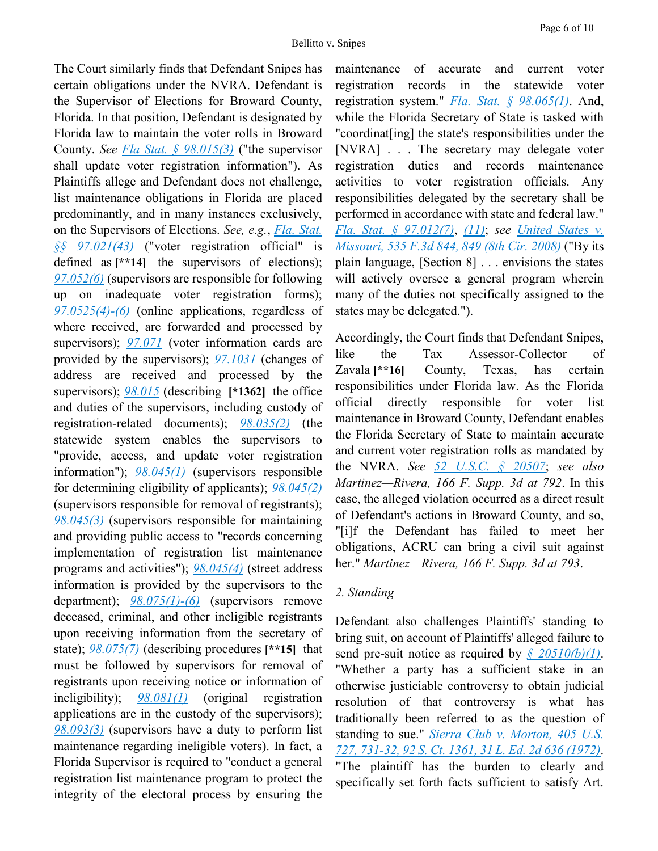The Court similarly finds that Defendant Snipes has certain obligations under the NVRA. Defendant is the Supervisor of Elections for Broward County, Florida. In that position, Defendant is designated by Florida law to maintain the voter rolls in Broward County. *See [Fla Stat. § 98.015\(3\)](https://advance.lexis.com/api/document?collection=statutes-legislation&id=urn:contentItem:5J8D-4051-DXC8-050F-00000-00&context=)* ("the supervisor shall update voter registration information"). As Plaintiffs allege and Defendant does not challenge, list maintenance obligations in Florida are placed predominantly, and in many instances exclusively, on the Supervisors of Elections. *See, e.g.*, *[Fla. Stat.](https://advance.lexis.com/api/document?collection=statutes-legislation&id=urn:contentItem:5JDR-2J41-DXC8-005D-00000-00&context=)  [§§ 97.021\(43\)](https://advance.lexis.com/api/document?collection=statutes-legislation&id=urn:contentItem:5JDR-2J41-DXC8-005D-00000-00&context=)* ("voter registration official" is defined as **[\*\*14]** the supervisors of elections); *[97.052\(6\)](https://advance.lexis.com/api/document?collection=statutes-legislation&id=urn:contentItem:5C24-M691-6SKW-D405-00000-00&context=)* (supervisors are responsible for following up on inadequate voter registration forms); *[97.0525\(4\)-\(6\)](https://advance.lexis.com/api/document?collection=statutes-legislation&id=urn:contentItem:5G1G-KMY1-DXC8-004T-00000-00&context=)* (online applications, regardless of where received, are forwarded and processed by supervisors); [97.071](https://advance.lexis.com/api/document?collection=statutes-legislation&id=urn:contentItem:5C24-M691-6SKW-D40K-00000-00&context=) (voter information cards are provided by the supervisors); *[97.1031](https://advance.lexis.com/api/document?collection=statutes-legislation&id=urn:contentItem:5C24-M691-6SKW-D40N-00000-00&context=)* (changes of address are received and processed by the supervisors); *[98.015](https://advance.lexis.com/api/document?collection=statutes-legislation&id=urn:contentItem:5J8D-4051-DXC8-050F-00000-00&context=)* (describing **[\*1362]** the office and duties of the supervisors, including custody of registration-related documents); *[98.035\(2\)](https://advance.lexis.com/api/document?collection=statutes-legislation&id=urn:contentItem:5C24-M691-6SKW-D40T-00000-00&context=)* (the statewide system enables the supervisors to "provide, access, and update voter registration information"); *[98.045\(1\)](https://advance.lexis.com/api/document?collection=statutes-legislation&id=urn:contentItem:5C24-M691-6SKW-D40V-00000-00&context=)* (supervisors responsible for determining eligibility of applicants); *[98.045\(2\)](https://advance.lexis.com/api/document?collection=statutes-legislation&id=urn:contentItem:5C24-M691-6SKW-D40V-00000-00&context=)* (supervisors responsible for removal of registrants); *[98.045\(3\)](https://advance.lexis.com/api/document?collection=statutes-legislation&id=urn:contentItem:5C24-M691-6SKW-D40V-00000-00&context=)* (supervisors responsible for maintaining and providing public access to "records concerning implementation of registration list maintenance programs and activities"); *[98.045\(4\)](https://advance.lexis.com/api/document?collection=statutes-legislation&id=urn:contentItem:5C24-M691-6SKW-D40V-00000-00&context=)* (street address information is provided by the supervisors to the department); *[98.075\(1\)-\(6\)](https://advance.lexis.com/api/document?collection=statutes-legislation&id=urn:contentItem:5C24-M691-6SKW-D410-00000-00&context=)* (supervisors remove deceased, criminal, and other ineligible registrants upon receiving information from the secretary of state); *[98.075\(7\)](https://advance.lexis.com/api/document?collection=statutes-legislation&id=urn:contentItem:5C24-M691-6SKW-D410-00000-00&context=)* (describing procedures **[\*\*15]** that must be followed by supervisors for removal of registrants upon receiving notice or information of ineligibility); *[98.081\(1\)](https://advance.lexis.com/api/document?collection=statutes-legislation&id=urn:contentItem:5C24-M691-6SKW-D413-00000-00&context=)* (original registration applications are in the custody of the supervisors); *[98.093\(3\)](https://advance.lexis.com/api/document?collection=statutes-legislation&id=urn:contentItem:5D6S-HV81-DXC8-04T2-00000-00&context=)* (supervisors have a duty to perform list maintenance regarding ineligible voters). In fact, a Florida Supervisor is required to "conduct a general registration list maintenance program to protect the integrity of the electoral process by ensuring the

maintenance of accurate and current voter registration records in the statewide voter registration system." *[Fla. Stat. § 98.065\(1\)](https://advance.lexis.com/api/document?collection=statutes-legislation&id=urn:contentItem:5J8V-6YB1-DXC8-044V-00000-00&context=)*. And, while the Florida Secretary of State is tasked with "coordinat[ing] the state's responsibilities under the [NVRA] . . . The secretary may delegate voter registration duties and records maintenance activities to voter registration officials. Any responsibilities delegated by the secretary shall be performed in accordance with state and federal law." *[Fla. Stat. § 97.012\(7\)](https://advance.lexis.com/api/document?collection=statutes-legislation&id=urn:contentItem:5J8V-6XM1-DXC8-044R-00000-00&context=)*, *[\(11\)](https://advance.lexis.com/api/document?collection=statutes-legislation&id=urn:contentItem:5J8V-6XM1-DXC8-044R-00000-00&context=)*; *see [United States v.](https://advance.lexis.com/api/document?collection=cases&id=urn:contentItem:4T3J-V2H0-TX4N-G1M7-00000-00&context=)  [Missouri, 535 F.3d 844, 849 \(8th Cir. 2008\)](https://advance.lexis.com/api/document?collection=cases&id=urn:contentItem:4T3J-V2H0-TX4N-G1M7-00000-00&context=)* ("By its plain language, [Section 8] . . . envisions the states will actively oversee a general program wherein many of the duties not specifically assigned to the states may be delegated.").

Accordingly, the Court finds that Defendant Snipes, like the Tax Assessor-Collector of Zavala **[\*\*16]** County, Texas, has certain responsibilities under Florida law. As the Florida official directly responsible for voter list maintenance in Broward County, Defendant enables the Florida Secretary of State to maintain accurate and current voter registration rolls as mandated by the NVRA. *See [52 U.S.C. § 20507](https://advance.lexis.com/api/document?collection=statutes-legislation&id=urn:contentItem:5D3N-F731-NRF4-4007-00000-00&context=)*; *see also Martinez—Rivera, 166 F. Supp. 3d at 792*. In this case, the alleged violation occurred as a direct result of Defendant's actions in Broward County, and so, "[i]f the Defendant has failed to meet her obligations, ACRU can bring a civil suit against her." *Martinez—Rivera, 166 F. Supp. 3d at 793*.

## *2. Standing*

Defendant also challenges Plaintiffs' standing to bring suit, on account of Plaintiffs' alleged failure to send pre-suit notice as required by *[§ 20510\(b\)\(1\)](https://advance.lexis.com/api/document?collection=statutes-legislation&id=urn:contentItem:5D3N-F741-NRF4-400B-00000-00&context=)*. "Whether a party has a sufficient stake in an otherwise justiciable controversy to obtain judicial resolution of that controversy is what has traditionally been referred to as the question of standing to sue." *[Sierra Club v. Morton, 405 U.S.](https://advance.lexis.com/api/document?collection=cases&id=urn:contentItem:3S4X-D8W0-003B-S3HH-00000-00&context=)  [727, 731-32, 92 S. Ct. 1361, 31 L. Ed. 2d 636 \(1972\)](https://advance.lexis.com/api/document?collection=cases&id=urn:contentItem:3S4X-D8W0-003B-S3HH-00000-00&context=)*. "The plaintiff has the burden to clearly and specifically set forth facts sufficient to satisfy Art.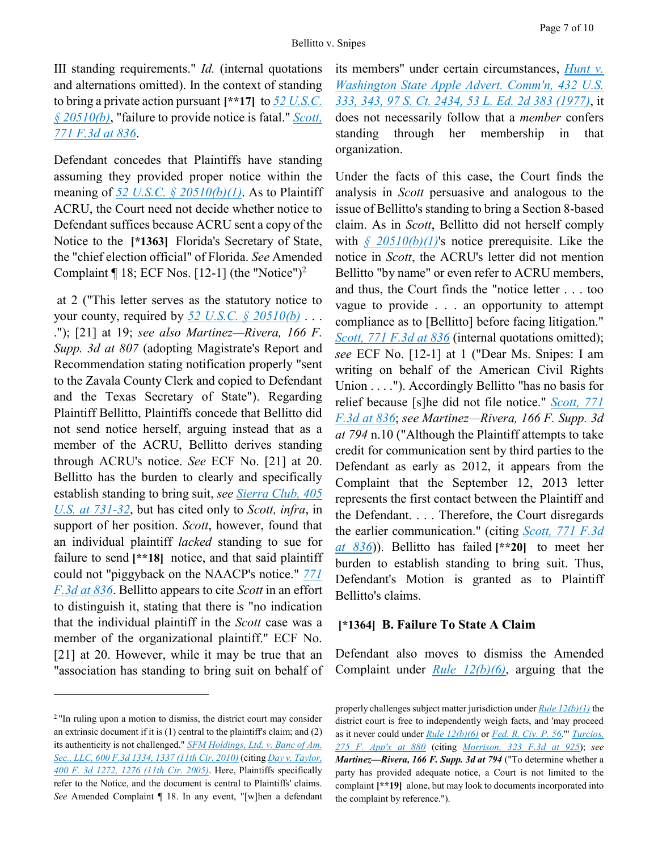III standing requirements." *Id.* (internal quotations and alternations omitted). In the context of standing to bring a private action pursuant **[\*\*17]** to *[52 U.S.C.](https://advance.lexis.com/api/document?collection=statutes-legislation&id=urn:contentItem:5D3N-F741-NRF4-400B-00000-00&context=)  [§ 20510\(b\)](https://advance.lexis.com/api/document?collection=statutes-legislation&id=urn:contentItem:5D3N-F741-NRF4-400B-00000-00&context=)*, "failure to provide notice is fatal." *[Scott,](https://advance.lexis.com/api/document?collection=cases&id=urn:contentItem:5DHX-5V41-F04K-N20M-00000-00&context=)  [771 F.3d at 836](https://advance.lexis.com/api/document?collection=cases&id=urn:contentItem:5DHX-5V41-F04K-N20M-00000-00&context=)*.

Defendant concedes that Plaintiffs have standing assuming they provided proper notice within the meaning of *[52 U.S.C. § 20510\(b\)\(1\)](https://advance.lexis.com/api/document?collection=statutes-legislation&id=urn:contentItem:5D3N-F741-NRF4-400B-00000-00&context=)*. As to Plaintiff ACRU, the Court need not decide whether notice to Defendant suffices because ACRU sent a copy of the Notice to the **[\*1363]** Florida's Secretary of State, the "chief election official" of Florida. *See* Amended Complaint  $\P$  18; ECF Nos. [12-1] (the "Notice")<sup>2</sup>

at 2 ("This letter serves as the statutory notice to your county, required by *[52 U.S.C. § 20510\(b\)](https://advance.lexis.com/api/document?collection=statutes-legislation&id=urn:contentItem:5D3N-F741-NRF4-400B-00000-00&context=)* . . . ."); [21] at 19; *see also Martinez—Rivera, 166 F. Supp. 3d at 807* (adopting Magistrate's Report and Recommendation stating notification properly "sent to the Zavala County Clerk and copied to Defendant and the Texas Secretary of State"). Regarding Plaintiff Bellitto, Plaintiffs concede that Bellitto did not send notice herself, arguing instead that as a member of the ACRU, Bellitto derives standing through ACRU's notice. *See* ECF No. [21] at 20. Bellitto has the burden to clearly and specifically establish standing to bring suit, *see [Sierra Club, 405](https://advance.lexis.com/api/document?collection=cases&id=urn:contentItem:3S4X-D8W0-003B-S3HH-00000-00&context=)  [U.S. at 731-32](https://advance.lexis.com/api/document?collection=cases&id=urn:contentItem:3S4X-D8W0-003B-S3HH-00000-00&context=)*, but has cited only to *Scott, infra*, in support of her position. *Scott*, however, found that an individual plaintiff *lacked* standing to sue for failure to send **[\*\*18]** notice, and that said plaintiff could not "piggyback on the NAACP's notice." *[771](https://advance.lexis.com/api/document?collection=cases&id=urn:contentItem:5DHX-5V41-F04K-N20M-00000-00&context=)  [F.3d at 836](https://advance.lexis.com/api/document?collection=cases&id=urn:contentItem:5DHX-5V41-F04K-N20M-00000-00&context=)*. Bellitto appears to cite *Scott* in an effort to distinguish it, stating that there is "no indication that the individual plaintiff in the *Scott* case was a member of the organizational plaintiff." ECF No. [21] at 20. However, while it may be true that an "association has standing to bring suit on behalf of

 $\overline{a}$ 

its members" under certain circumstances, *[Hunt v.](https://advance.lexis.com/api/document?collection=cases&id=urn:contentItem:3S4X-9CY0-003B-S1K0-00000-00&context=)  [Washington State Apple Advert. Comm'n, 432 U.S.](https://advance.lexis.com/api/document?collection=cases&id=urn:contentItem:3S4X-9CY0-003B-S1K0-00000-00&context=)  [333, 343, 97 S. Ct. 2434, 53 L. Ed. 2d 383 \(1977\)](https://advance.lexis.com/api/document?collection=cases&id=urn:contentItem:3S4X-9CY0-003B-S1K0-00000-00&context=)*, it does not necessarily follow that a *member* confers standing through her membership in that organization.

Under the facts of this case, the Court finds the analysis in *Scott* persuasive and analogous to the issue of Bellitto's standing to bring a Section 8-based claim. As in *Scott*, Bellitto did not herself comply with *[§ 20510\(b\)\(1\)](https://advance.lexis.com/api/document?collection=statutes-legislation&id=urn:contentItem:5D3N-F741-NRF4-400B-00000-00&context=)*'s notice prerequisite. Like the notice in *Scott*, the ACRU's letter did not mention Bellitto "by name" or even refer to ACRU members, and thus, the Court finds the "notice letter . . . too vague to provide . . . an opportunity to attempt compliance as to [Bellitto] before facing litigation." *[Scott, 771 F.3d at 836](https://advance.lexis.com/api/document?collection=cases&id=urn:contentItem:5DHX-5V41-F04K-N20M-00000-00&context=)* (internal quotations omitted); *see* ECF No. [12-1] at 1 ("Dear Ms. Snipes: I am writing on behalf of the American Civil Rights Union . . . ."). Accordingly Bellitto "has no basis for relief because [s]he did not file notice." *[Scott, 771](https://advance.lexis.com/api/document?collection=cases&id=urn:contentItem:5DHX-5V41-F04K-N20M-00000-00&context=)  [F.3d at 836](https://advance.lexis.com/api/document?collection=cases&id=urn:contentItem:5DHX-5V41-F04K-N20M-00000-00&context=)*; *see Martinez—Rivera, 166 F. Supp. 3d at 794* n.10 ("Although the Plaintiff attempts to take credit for communication sent by third parties to the Defendant as early as 2012, it appears from the Complaint that the September 12, 2013 letter represents the first contact between the Plaintiff and the Defendant. . . . Therefore, the Court disregards the earlier communication." (citing *[Scott, 771 F.3d](https://advance.lexis.com/api/document?collection=cases&id=urn:contentItem:5DHX-5V41-F04K-N20M-00000-00&context=)  [at 836](https://advance.lexis.com/api/document?collection=cases&id=urn:contentItem:5DHX-5V41-F04K-N20M-00000-00&context=)*)). Bellitto has failed **[\*\*20]** to meet her burden to establish standing to bring suit. Thus, Defendant's Motion is granted as to Plaintiff Bellitto's claims.

#### **[\*1364] B. Failure To State A Claim**

Defendant also moves to dismiss the Amended Complaint under *[Rule 12\(b\)\(6\)](https://advance.lexis.com/api/document?collection=statutes-legislation&id=urn:contentItem:5GYC-1WP1-6N19-F0YW-00000-00&context=)*, arguing that the

<sup>&</sup>lt;sup>2</sup> "In ruling upon a motion to dismiss, the district court may consider an extrinsic document if it is  $(1)$  central to the plaintiff's claim; and  $(2)$ its authenticity is not challenged." *[SFM Holdings, Ltd. v. Banc of Am.](https://advance.lexis.com/api/document?collection=cases&id=urn:contentItem:7Y3F-DX20-YB0V-S04B-00000-00&context=)  [Sec., LLC, 600 F.3d 1334, 1337 \(11th Cir. 2010\)](https://advance.lexis.com/api/document?collection=cases&id=urn:contentItem:7Y3F-DX20-YB0V-S04B-00000-00&context=)* (citing *[Day v. Taylor,](https://advance.lexis.com/api/document?collection=cases&id=urn:contentItem:4FJ9-1FW0-0038-X0NW-00000-00&context=)  [400 F. 3d 1272, 1276 \(11th Cir. 2005\)](https://advance.lexis.com/api/document?collection=cases&id=urn:contentItem:4FJ9-1FW0-0038-X0NW-00000-00&context=)*. Here, Plaintiffs specifically refer to the Notice, and the document is central to Plaintiffs' claims. *See* Amended Complaint ¶ 18. In any event, "[w]hen a defendant

properly challenges subject matter jurisdiction under *[Rule 12\(b\)\(1\)](https://advance.lexis.com/api/document?collection=statutes-legislation&id=urn:contentItem:5GYC-1WP1-6N19-F0YW-00000-00&context=)* the district court is free to independently weigh facts, and 'may proceed as it never could under *[Rule 12\(b\)\(6\)](https://advance.lexis.com/api/document?collection=statutes-legislation&id=urn:contentItem:5GYC-1WP1-6N19-F0YW-00000-00&context=)* or *[Fed. R. Civ. P. 56](https://advance.lexis.com/api/document?collection=statutes-legislation&id=urn:contentItem:5GYC-2421-6N19-F165-00000-00&context=)*.'" *[Turcios,](https://advance.lexis.com/api/document?collection=cases&id=urn:contentItem:4SFW-P1N0-TX4N-G0M5-00000-00&context=)  [275 F. App'x at 880](https://advance.lexis.com/api/document?collection=cases&id=urn:contentItem:4SFW-P1N0-TX4N-G0M5-00000-00&context=)* (citing *[Morrison, 323 F.3d at 925](https://advance.lexis.com/api/document?collection=cases&id=urn:contentItem:482X-6XN0-0038-X43T-00000-00&context=)*); *see Martinez—Rivera, 166 F. Supp. 3d at 794* ("To determine whether a party has provided adequate notice, a Court is not limited to the complaint **[\*\*19]** alone, but may look to documents incorporated into the complaint by reference.").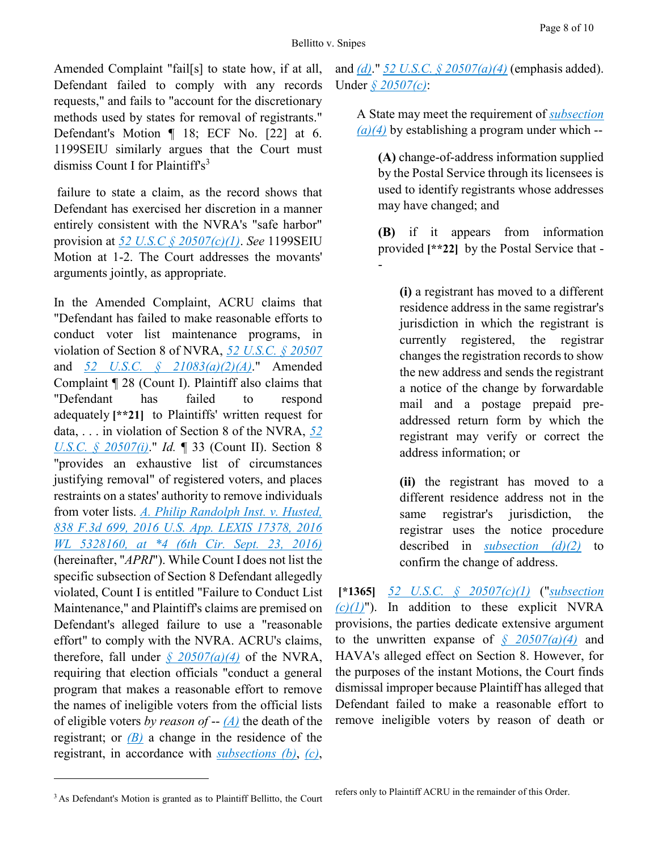-

Amended Complaint "fail[s] to state how, if at all, Defendant failed to comply with any records requests," and fails to "account for the discretionary methods used by states for removal of registrants." Defendant's Motion ¶ 18; ECF No. [22] at 6. 1199SEIU similarly argues that the Court must dismiss Count I for Plaintiff's $3$ 

failure to state a claim, as the record shows that Defendant has exercised her discretion in a manner entirely consistent with the NVRA's "safe harbor" provision at *[52 U.S.C § 20507\(c\)\(1\)](https://advance.lexis.com/api/document?collection=statutes-legislation&id=urn:contentItem:5D3N-F731-NRF4-4007-00000-00&context=)*. *See* 1199SEIU Motion at 1-2. The Court addresses the movants' arguments jointly, as appropriate.

In the Amended Complaint, ACRU claims that "Defendant has failed to make reasonable efforts to conduct voter list maintenance programs, in violation of Section 8 of NVRA, *[52 U.S.C. § 20507](https://advance.lexis.com/api/document?collection=statutes-legislation&id=urn:contentItem:5D3N-F731-NRF4-4007-00000-00&context=)* and *[52 U.S.C. § 21083\(a\)\(2\)\(A\)](https://advance.lexis.com/api/document?collection=statutes-legislation&id=urn:contentItem:5D3N-FR61-NRF4-4003-00000-00&context=)*." Amended Complaint ¶ 28 (Count I). Plaintiff also claims that "Defendant has failed to respond adequately **[\*\*21]** to Plaintiffs' written request for data, . . . in violation of Section 8 of the NVRA, *[52](https://advance.lexis.com/api/document?collection=statutes-legislation&id=urn:contentItem:5D3N-F731-NRF4-4007-00000-00&context=)  [U.S.C. § 20507\(i\)](https://advance.lexis.com/api/document?collection=statutes-legislation&id=urn:contentItem:5D3N-F731-NRF4-4007-00000-00&context=)*." *Id.* ¶ 33 (Count II). Section 8 "provides an exhaustive list of circumstances justifying removal" of registered voters, and places restraints on a states' authority to remove individuals from voter lists. *[A. Philip Randolph Inst. v. Husted,](https://advance.lexis.com/api/document?collection=cases&id=urn:contentItem:5KSG-DG81-F04K-P1C2-00000-00&context=)  [838 F.3d 699, 2016 U.S. App. LEXIS 17378, 2016](https://advance.lexis.com/api/document?collection=cases&id=urn:contentItem:5KSG-DG81-F04K-P1C2-00000-00&context=)  [WL 5328160, at \\*4 \(6th Cir. Sept. 23, 2016\)](https://advance.lexis.com/api/document?collection=cases&id=urn:contentItem:5KSG-DG81-F04K-P1C2-00000-00&context=)* (hereinafter, "*APRI*"). While Count I does not list the specific subsection of Section 8 Defendant allegedly violated, Count I is entitled "Failure to Conduct List Maintenance," and Plaintiff's claims are premised on Defendant's alleged failure to use a "reasonable effort" to comply with the NVRA. ACRU's claims, therefore, fall under  $\frac{\delta 20507(a)}{4}$  of the NVRA, requiring that election officials "conduct a general program that makes a reasonable effort to remove the names of ineligible voters from the official lists of eligible voters *by reason of* -- *[\(A\)](https://advance.lexis.com/api/document?collection=statutes-legislation&id=urn:contentItem:5D3N-F731-NRF4-4007-00000-00&context=)* the death of the registrant; or  $(B)$  a change in the residence of the registrant, in accordance with *[subsections \(b\)](https://advance.lexis.com/api/document?collection=statutes-legislation&id=urn:contentItem:5D3N-F731-NRF4-4007-00000-00&context=)*, *[\(c\)](https://advance.lexis.com/api/document?collection=statutes-legislation&id=urn:contentItem:5D3N-F731-NRF4-4007-00000-00&context=)*,

and *[\(d\)](https://advance.lexis.com/api/document?collection=statutes-legislation&id=urn:contentItem:5D3N-F731-NRF4-4007-00000-00&context=)*." *[52 U.S.C. § 20507\(a\)\(4\)](https://advance.lexis.com/api/document?collection=statutes-legislation&id=urn:contentItem:5D3N-F731-NRF4-4007-00000-00&context=)* (emphasis added). Under *[§ 20507\(c\)](https://advance.lexis.com/api/document?collection=statutes-legislation&id=urn:contentItem:5D3N-F731-NRF4-4007-00000-00&context=)*:

A State may meet the requirement of *[subsection](https://advance.lexis.com/api/document?collection=statutes-legislation&id=urn:contentItem:5D3N-F731-NRF4-4007-00000-00&context=)  [\(a\)\(4\)](https://advance.lexis.com/api/document?collection=statutes-legislation&id=urn:contentItem:5D3N-F731-NRF4-4007-00000-00&context=)* by establishing a program under which --

**(A)** change-of-address information supplied by the Postal Service through its licensees is used to identify registrants whose addresses may have changed; and

**(B)** if it appears from information provided **[\*\*22]** by the Postal Service that -

**(i)** a registrant has moved to a different residence address in the same registrar's jurisdiction in which the registrant is currently registered, the registrar changes the registration records to show the new address and sends the registrant a notice of the change by forwardable mail and a postage prepaid preaddressed return form by which the registrant may verify or correct the address information; or

**(ii)** the registrant has moved to a different residence address not in the same registrar's jurisdiction, the registrar uses the notice procedure described in *[subsection \(d\)\(2\)](https://advance.lexis.com/api/document?collection=statutes-legislation&id=urn:contentItem:5D3N-F731-NRF4-4007-00000-00&context=)* to confirm the change of address.

**[\*1365]** *[52 U.S.C. § 20507\(c\)\(1\)](https://advance.lexis.com/api/document?collection=statutes-legislation&id=urn:contentItem:5D3N-F731-NRF4-4007-00000-00&context=)* ("*[subsection](https://advance.lexis.com/api/document?collection=statutes-legislation&id=urn:contentItem:5D3N-F731-NRF4-4007-00000-00&context=)*   $(c)(1)$ "). In addition to these explicit NVRA provisions, the parties dedicate extensive argument to the unwritten expanse of  $\frac{6}{9}$  20507(a)(4) and HAVA's alleged effect on Section 8. However, for the purposes of the instant Motions, the Court finds dismissal improper because Plaintiff has alleged that Defendant failed to make a reasonable effort to remove ineligible voters by reason of death or

 $\overline{a}$ 

<sup>&</sup>lt;sup>3</sup> As Defendant's Motion is granted as to Plaintiff Bellitto, the Court

refers only to Plaintiff ACRU in the remainder of this Order.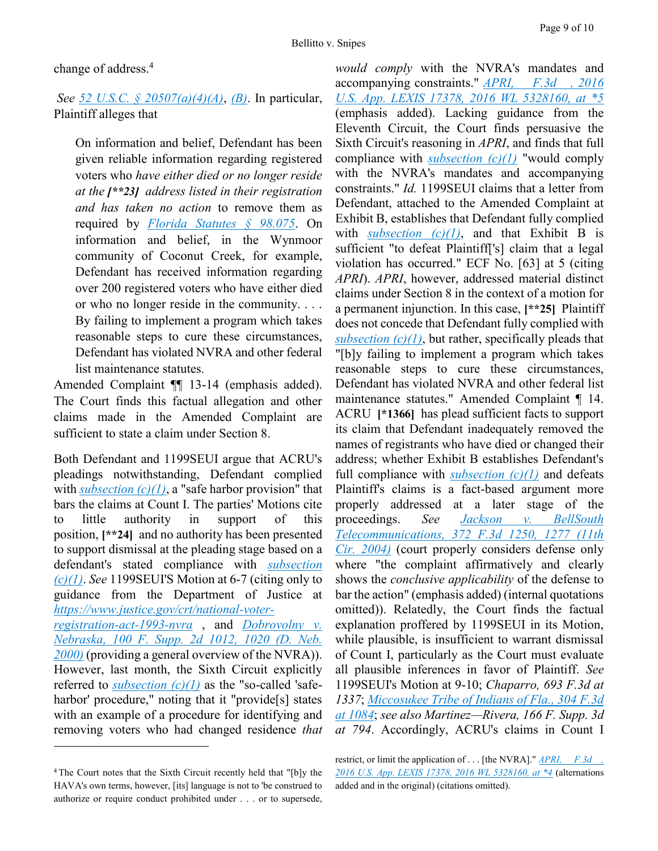change of address.<sup>4</sup>

*See [52 U.S.C. § 20507\(a\)\(4\)\(A\)](https://advance.lexis.com/api/document?collection=statutes-legislation&id=urn:contentItem:5D3N-F731-NRF4-4007-00000-00&context=)*, *[\(B\)](https://advance.lexis.com/api/document?collection=statutes-legislation&id=urn:contentItem:5D3N-F731-NRF4-4007-00000-00&context=)*. In particular, Plaintiff alleges that

On information and belief, Defendant has been given reliable information regarding registered voters who *have either died or no longer reside at the [\*\*23] address listed in their registration and has taken no action* to remove them as required by *[Florida Statutes § 98.075](https://advance.lexis.com/api/document?collection=statutes-legislation&id=urn:contentItem:5C24-M691-6SKW-D410-00000-00&context=)*. On information and belief, in the Wynmoor community of Coconut Creek, for example, Defendant has received information regarding over 200 registered voters who have either died or who no longer reside in the community. . . . By failing to implement a program which takes reasonable steps to cure these circumstances, Defendant has violated NVRA and other federal list maintenance statutes.

Amended Complaint ¶¶ 13-14 (emphasis added). The Court finds this factual allegation and other claims made in the Amended Complaint are sufficient to state a claim under Section 8.

Both Defendant and 1199SEUI argue that ACRU's pleadings notwithstanding, Defendant complied with *[subsection \(c\)\(1\)](https://advance.lexis.com/api/document?collection=statutes-legislation&id=urn:contentItem:5D3N-F731-NRF4-4007-00000-00&context=)*, a "safe harbor provision" that bars the claims at Count I. The parties' Motions cite to little authority in support of this position, **[\*\*24]** and no authority has been presented to support dismissal at the pleading stage based on a defendant's stated compliance with *[subsection](https://advance.lexis.com/api/document?collection=statutes-legislation&id=urn:contentItem:5D3N-F731-NRF4-4007-00000-00&context=)  [\(c\)\(1\)](https://advance.lexis.com/api/document?collection=statutes-legislation&id=urn:contentItem:5D3N-F731-NRF4-4007-00000-00&context=)*. *See* 1199SEUI'S Motion at 6-7 (citing only to guidance from the Department of Justice at *[https://www.justice.gov/crt/national-voter](https://www.justice.gov/crt/national-voter-registration-act-1993-nvra)[registration-act-1993-nvra](https://www.justice.gov/crt/national-voter-registration-act-1993-nvra)* , and *[Dobrovolny v.](https://advance.lexis.com/api/document?collection=cases&id=urn:contentItem:40G4-5TN0-0038-Y40D-00000-00&context=)  [Nebraska, 100 F. Supp. 2d 1012, 1020 \(D. Neb.](https://advance.lexis.com/api/document?collection=cases&id=urn:contentItem:40G4-5TN0-0038-Y40D-00000-00&context=)  [2000\)](https://advance.lexis.com/api/document?collection=cases&id=urn:contentItem:40G4-5TN0-0038-Y40D-00000-00&context=)* (providing a general overview of the NVRA)). However, last month, the Sixth Circuit explicitly referred to *[subsection \(c\)\(1\)](https://advance.lexis.com/api/document?collection=statutes-legislation&id=urn:contentItem:5D3N-F731-NRF4-4007-00000-00&context=)* as the "so-called 'safeharbor' procedure," noting that it "provide<sup>[s]</sup> states with an example of a procedure for identifying and removing voters who had changed residence *that* 

 $\overline{a}$ 

*would comply* with the NVRA's mandates and accompanying constraints." *[APRI, F.3d , 2016](https://advance.lexis.com/api/document?collection=cases&id=urn:contentItem:5KSG-DG81-F04K-P1C2-00000-00&context=)  [U.S. App. LEXIS 17378, 2016 WL 5328160, at \\*5](https://advance.lexis.com/api/document?collection=cases&id=urn:contentItem:5KSG-DG81-F04K-P1C2-00000-00&context=)* (emphasis added). Lacking guidance from the Eleventh Circuit, the Court finds persuasive the Sixth Circuit's reasoning in *APRI*, and finds that full compliance with *[subsection \(c\)\(1\)](https://advance.lexis.com/api/document?collection=statutes-legislation&id=urn:contentItem:5D3N-F731-NRF4-4007-00000-00&context=)* "would comply with the NVRA's mandates and accompanying constraints." *Id.* 1199SEUI claims that a letter from Defendant, attached to the Amended Complaint at Exhibit B, establishes that Defendant fully complied with *subsection*  $(c)(1)$ , and that Exhibit B is sufficient "to defeat Plaintiff['s] claim that a legal violation has occurred." ECF No. [63] at 5 (citing *APRI*). *APRI*, however, addressed material distinct claims under Section 8 in the context of a motion for a permanent injunction. In this case, **[\*\*25]** Plaintiff does not concede that Defendant fully complied with *subsection*  $(c)(1)$ , but rather, specifically pleads that "[b]y failing to implement a program which takes reasonable steps to cure these circumstances, Defendant has violated NVRA and other federal list maintenance statutes." Amended Complaint ¶ 14. ACRU **[\*1366]** has plead sufficient facts to support its claim that Defendant inadequately removed the names of registrants who have died or changed their address; whether Exhibit B establishes Defendant's full compliance with *[subsection \(c\)\(1\)](https://advance.lexis.com/api/document?collection=statutes-legislation&id=urn:contentItem:5D3N-F731-NRF4-4007-00000-00&context=)* and defeats Plaintiff's claims is a fact-based argument more properly addressed at a later stage of the proceedings. *See [Jackson v. BellSouth](https://advance.lexis.com/api/document?collection=cases&id=urn:contentItem:4CMB-D420-0038-X2SX-00000-00&context=)  [Telecommunications, 372 F.3d 1250, 1277 \(11th](https://advance.lexis.com/api/document?collection=cases&id=urn:contentItem:4CMB-D420-0038-X2SX-00000-00&context=)  [Cir. 2004\)](https://advance.lexis.com/api/document?collection=cases&id=urn:contentItem:4CMB-D420-0038-X2SX-00000-00&context=)* (court properly considers defense only where "the complaint affirmatively and clearly shows the *conclusive applicability* of the defense to bar the action" (emphasis added) (internal quotations omitted)). Relatedly, the Court finds the factual explanation proffered by 1199SEUI in its Motion, while plausible, is insufficient to warrant dismissal of Count I, particularly as the Court must evaluate all plausible inferences in favor of Plaintiff. *See* 1199SEUI's Motion at 9-10; *Chaparro, 693 F.3d at 1337*; *[Miccosukee Tribe of Indians of Fla., 304 F.3d](https://advance.lexis.com/api/document?collection=cases&id=urn:contentItem:46R6-5FS0-0038-X3KC-00000-00&context=)  [at 1084](https://advance.lexis.com/api/document?collection=cases&id=urn:contentItem:46R6-5FS0-0038-X3KC-00000-00&context=)*; *see also Martinez—Rivera, 166 F. Supp. 3d at 794*. Accordingly, ACRU's claims in Count I

<sup>4</sup> The Court notes that the Sixth Circuit recently held that "[b]y the HAVA's own terms, however, [its] language is not to 'be construed to authorize or require conduct prohibited under . . . or to supersede,

restrict, or limit the application of . . . [the NVRA]." <u>APRI, F.3d,</u> *[2016 U.S. App. LEXIS 17378, 2016 WL 5328160, at \\*4](https://advance.lexis.com/api/document?collection=cases&id=urn:contentItem:5KSG-DG81-F04K-P1C2-00000-00&context=)* (alternations added and in the original) (citations omitted).